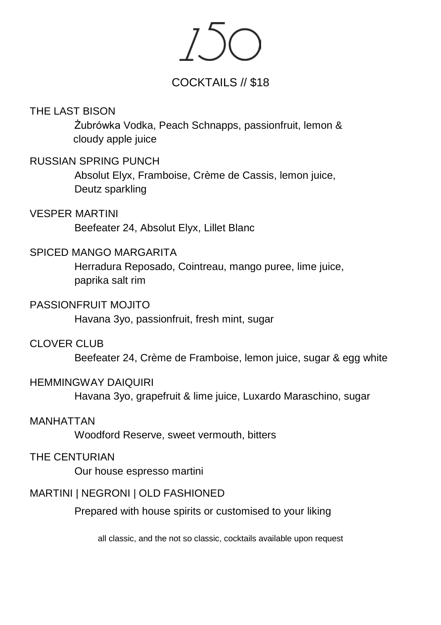## COCKTAILS // \$18

### THE LAST BISON

Żubrówka Vodka, Peach Schnapps, passionfruit, lemon & cloudy apple juice

### RUSSIAN SPRING PUNCH

Absolut Elyx, Framboise, Crème de Cassis, lemon juice, Deutz sparkling

### VESPER MARTINI

Beefeater 24, Absolut Elyx, Lillet Blanc

### SPICED MANGO MARGARITA

Herradura Reposado, Cointreau, mango puree, lime juice, paprika salt rim

### PASSIONFRUIT MOJITO

Havana 3yo, passionfruit, fresh mint, sugar

### CLOVER CLUB

Beefeater 24, Crème de Framboise, lemon juice, sugar & egg white

### HEMMINGWAY DAIQUIRI

Havana 3yo, grapefruit & lime juice, Luxardo Maraschino, sugar

### MANHATTAN

Woodford Reserve, sweet vermouth, bitters

### THE CENTURIAN

Our house espresso martini

### MARTINI | NEGRONI | OLD FASHIONED

Prepared with house spirits or customised to your liking

all classic, and the not so classic, cocktails available upon request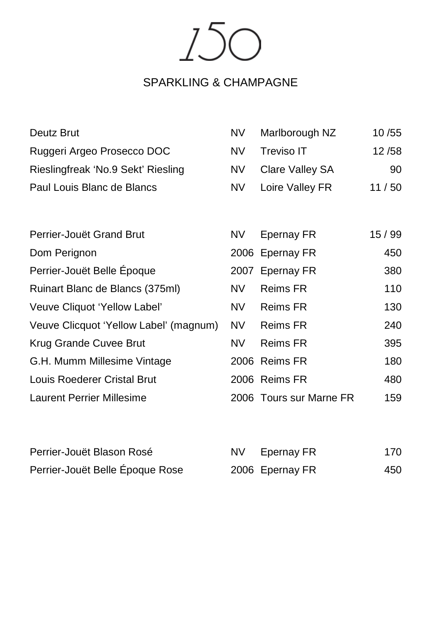150

# SPARKLING & CHAMPAGNE

| Deutz Brut                             | <b>NV</b> | Marlborough NZ          | 10 / 55 |
|----------------------------------------|-----------|-------------------------|---------|
| Ruggeri Argeo Prosecco DOC             | NV.       | Treviso IT              | 12/58   |
| Rieslingfreak 'No.9 Sekt' Riesling     | NV.       | Clare Valley SA         | 90      |
| Paul Louis Blanc de Blancs             | NV        | Loire Valley FR         | 11/50   |
|                                        |           |                         |         |
| Perrier-Jouët Grand Brut               | NV.       | Epernay FR              | 15 / 99 |
| Dom Perignon                           |           | 2006 Epernay FR         | 450     |
| Perrier-Jouët Belle Époque             |           | 2007 Epernay FR         | 380     |
| Ruinart Blanc de Blancs (375ml)        | NV.       | Reims FR                | 110     |
| Veuve Cliquot 'Yellow Label'           | NV.       | <b>Reims FR</b>         | 130     |
| Veuve Clicquot 'Yellow Label' (magnum) | NV        | <b>Reims FR</b>         | 240     |
| Krug Grande Cuvee Brut                 | NV.       | Reims FR                | 395     |
| G.H. Mumm Millesime Vintage            |           | 2006 Reims FR           | 180     |
| Louis Roederer Cristal Brut            |           | 2006 Reims FR           | 480     |
| Laurent Perrier Millesime              |           | 2006 Tours sur Marne FR | 159     |

| Perrier-Jouët Blason Rosé       | NV Epernay FR   | 170 |
|---------------------------------|-----------------|-----|
| Perrier-Jouët Belle Époque Rose | 2006 Epernay FR | 450 |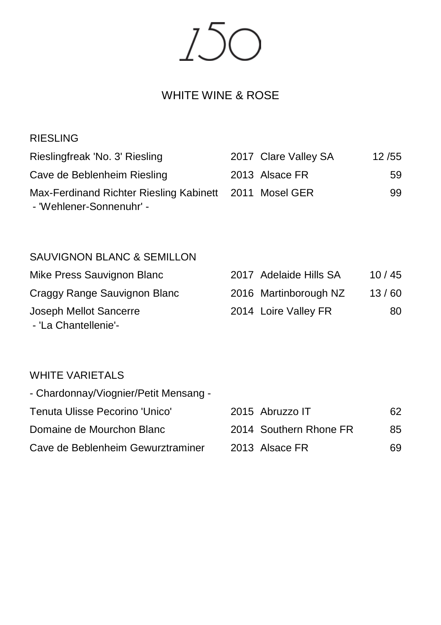150

## WHITE WINE & ROSE

### RIESLING

| Rieslingfreak 'No. 3' Riesling                         | 2017 Clare Valley SA | 12/55 |
|--------------------------------------------------------|----------------------|-------|
| Cave de Beblenheim Riesling                            | 2013 Alsace FR       | 59.   |
| Max-Ferdinand Richter Riesling Kabinett 2011 Mosel GER |                      | 99.   |
| - 'Wehlener-Sonnenuhr' -                               |                      |       |

### SAUVIGNON BLANC & SEMILLON

| Mike Press Sauvignon Blanc   | 2017 Adelaide Hills SA | 10/45 |
|------------------------------|------------------------|-------|
| Craggy Range Sauvignon Blanc | 2016 Martinborough NZ  | 13/60 |
| Joseph Mellot Sancerre       | 2014 Loire Valley FR   | 80    |
| - 'La Chantellenie'-         |                        |       |

## WHITE VARIETALS

| - Chardonnay/Viognier/Petit Mensang - |                        |     |
|---------------------------------------|------------------------|-----|
| Tenuta Ulisse Pecorino 'Unico'        | 2015 Abruzzo IT        | 62. |
| Domaine de Mourchon Blanc             | 2014 Southern Rhone FR | 85. |
| Cave de Beblenheim Gewurztraminer     | 2013 Alsace FR         | 69. |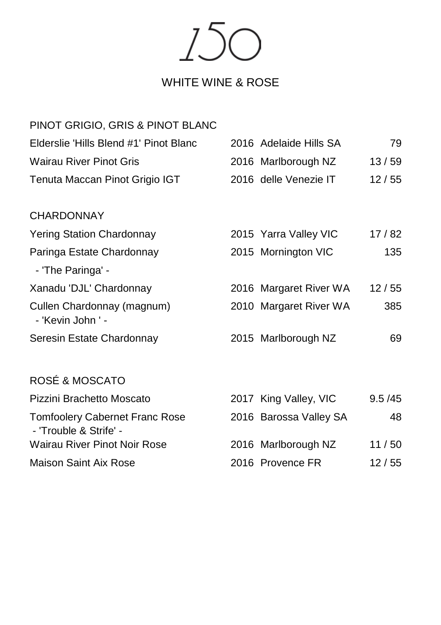150

# WHITE WINE & ROSE

| PINOT GRIGIO, GRIS & PINOT BLANC                                |                        |          |
|-----------------------------------------------------------------|------------------------|----------|
| Elderslie 'Hills Blend #1' Pinot Blanc                          | 2016 Adelaide Hills SA | 79       |
| <b>Wairau River Pinot Gris</b>                                  | 2016 Marlborough NZ    | 13/59    |
| Tenuta Maccan Pinot Grigio IGT                                  | 2016 delle Venezie IT  | 12/55    |
| <b>CHARDONNAY</b>                                               |                        |          |
| <b>Yering Station Chardonnay</b>                                | 2015 Yarra Valley VIC  | 17/82    |
| Paringa Estate Chardonnay                                       | 2015 Mornington VIC    | 135      |
| - 'The Paringa' -                                               |                        |          |
| Xanadu 'DJL' Chardonnay                                         | 2016 Margaret River WA | 12/55    |
| Cullen Chardonnay (magnum)<br>- 'Kevin John ' -                 | 2010 Margaret River WA | 385      |
| Seresin Estate Chardonnay                                       | 2015 Marlborough NZ    | 69       |
| ROSÉ & MOSCATO                                                  |                        |          |
| Pizzini Brachetto Moscato                                       | 2017 King Valley, VIC  | 9.5 / 45 |
| <b>Tomfoolery Cabernet Franc Rose</b><br>- 'Trouble & Strife' - | 2016 Barossa Valley SA | 48       |
| Wairau River Pinot Noir Rose                                    | 2016 Marlborough NZ    | 11/50    |
| Maison Saint Aix Rose                                           | 2016 Provence FR       | 12/55    |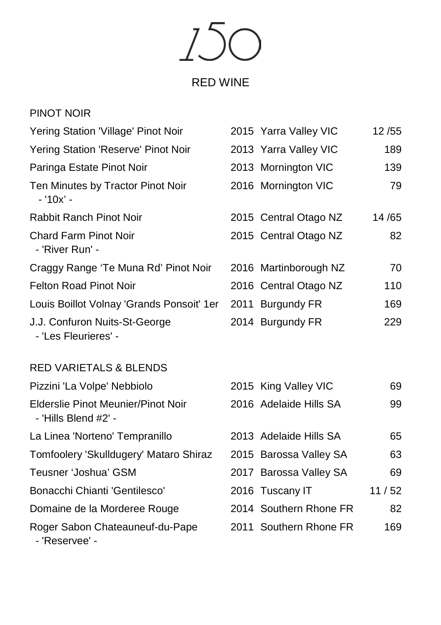150

# RED WINE

| PINOT NOIR                                            |                       |       |
|-------------------------------------------------------|-----------------------|-------|
| Yering Station 'Village' Pinot Noir                   | 2015 Yarra Valley VIC | 12/55 |
| Yering Station 'Reserve' Pinot Noir                   | 2013 Yarra Valley VIC | 189   |
| Paringa Estate Pinot Noir                             | 2013 Mornington VIC   | 139   |
| Ten Minutes by Tractor Pinot Noir<br>- '10x' -        | 2016 Mornington VIC   | 79    |
| Rabbit Ranch Pinot Noir                               | 2015 Central Otago NZ | 14/65 |
| <b>Chard Farm Pinot Noir</b><br>- 'River Run' -       | 2015 Central Otago NZ | 82    |
| Craggy Range 'Te Muna Rd' Pinot Noir                  | 2016 Martinborough NZ | 70    |
| Felton Road Pinot Noir                                | 2016 Central Otago NZ | 110   |
| Louis Boillot Volnay 'Grands Ponsoit' 1er             | 2011 Burgundy FR      | 169   |
| J.J. Confuron Nuits-St-George<br>- 'Les Fleurieres' - | 2014 Burgundy FR      | 229   |

### RED VARIETALS & BLENDS

| Pizzini 'La Volpe' Nebbiolo                                | 2015 King Valley VIC   | 69    |
|------------------------------------------------------------|------------------------|-------|
| Elderslie Pinot Meunier/Pinot Noir<br>- 'Hills Blend #2' - | 2016 Adelaide Hills SA | 99    |
| La Linea 'Norteno' Tempranillo                             | 2013 Adelaide Hills SA | 65    |
| Tomfoolery 'Skulldugery' Mataro Shiraz                     | 2015 Barossa Valley SA | 63    |
| Teusner 'Joshua' GSM                                       | 2017 Barossa Valley SA | 69    |
| Bonacchi Chianti 'Gentilesco'                              | 2016 Tuscany IT        | 11/52 |
| Domaine de la Morderee Rouge                               | 2014 Southern Rhone FR | 82    |
| Roger Sabon Chateauneuf-du-Pape<br>- 'Reservee' -          | 2011 Southern Rhone FR | 169   |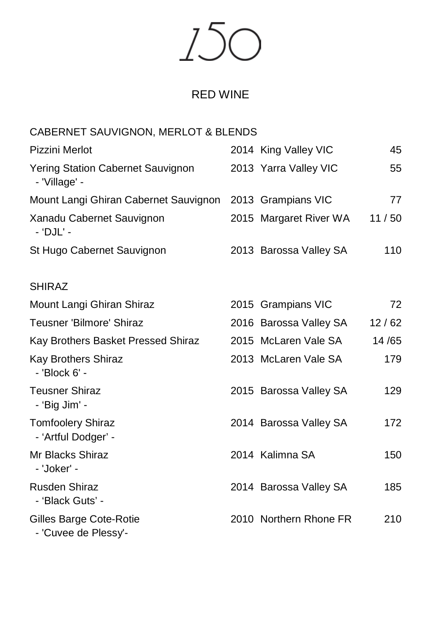$7.5<sub>0</sub>$  $\bigcap$ 

### RED WINE

### CABERNET SAUVIGNON, MERLOT & BLENDS

| Pizzini Merlot                                     | 2014 King Valley VIC   | 45    |
|----------------------------------------------------|------------------------|-------|
| Yering Station Cabernet Sauvignon<br>- 'Village' - | 2013 Yarra Valley VIC  | 55    |
| Mount Langi Ghiran Cabernet Sauvignon              | 2013 Grampians VIC     | 77    |
| Xanadu Cabernet Sauvignon<br>- 'DJL' -             | 2015 Margaret River WA | 11/50 |
| St Hugo Cabernet Sauvignon                         | 2013 Barossa Valley SA | 110   |
| <b>SHIRAZ</b>                                      |                        |       |
| Mount Langi Ghiran Shiraz                          | 2015 Grampians VIC     | 72    |
| Teusner 'Bilmore' Shiraz                           | 2016 Barossa Valley SA | 12/62 |
| Kay Brothers Basket Pressed Shiraz                 | 2015 McLaren Vale SA   | 14/65 |
| Kay Brothers Shiraz<br>- 'Block 6' -               | 2013 McLaren Vale SA   | 179   |
| <b>Teusner Shiraz</b><br>- 'Big Jim' -             | 2015 Barossa Valley SA | 129   |
| <b>Tomfoolery Shiraz</b><br>- 'Artful Dodger' -    | 2014 Barossa Valley SA | 172   |
| Mr Blacks Shiraz<br>- 'Joker' -                    | 2014 Kalimna SA        | 150   |
| Rusden Shiraz                                      | 2014 Barossa Valley SA | 185   |

Gilles Barge Cote-Rotie 2010 Northern Rhone FR 210

- 'Cuvee de Plessy'-

- 'Black Guts' -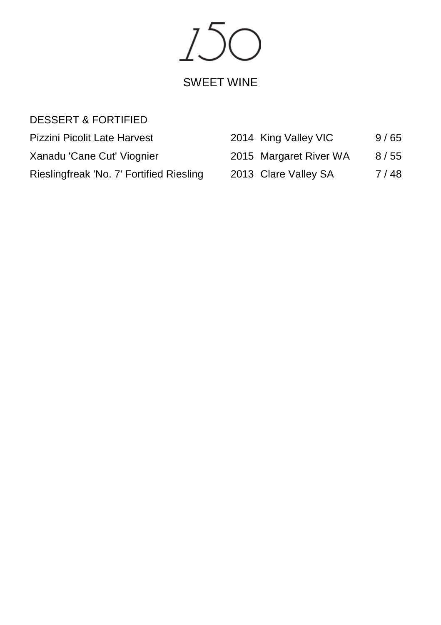150 SWEET WINE

## DESSERT & FORTIFIED

| Pizzini Picolit Late Harvest             | 2014 King Valley VIC   | 9/65 |
|------------------------------------------|------------------------|------|
| Xanadu 'Cane Cut' Viognier               | 2015 Margaret River WA | 8/55 |
| Rieslingfreak 'No. 7' Fortified Riesling | 2013 Clare Valley SA   | 7/48 |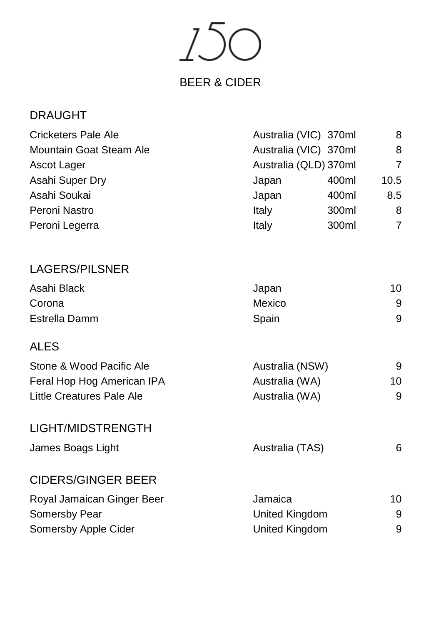150

# BEER & CIDER

| Cricketers Pale Ale        | Australia (VIC) 370ml |       | 8              |
|----------------------------|-----------------------|-------|----------------|
| Mountain Goat Steam Ale    | Australia (VIC) 370ml |       | 8              |
| Ascot Lager                | Australia (QLD) 370ml |       | $\overline{7}$ |
| Asahi Super Dry            | Japan                 | 400ml | 10.5           |
| Asahi Soukai               | Japan                 | 400ml | 8.5            |
| Peroni Nastro              | Italy                 | 300ml | 8              |
| Peroni Legerra             | Italy                 | 300ml | $\overline{7}$ |
| <b>LAGERS/PILSNER</b>      |                       |       |                |
| Asahi Black                | Japan                 |       | 10             |
| Corona                     | Mexico                |       | 9              |
| <b>Estrella Damm</b>       | Spain                 |       | 9              |
| <b>ALES</b>                |                       |       |                |
| Stone & Wood Pacific Ale   | Australia (NSW)       |       | 9              |
| Feral Hop Hog American IPA | Australia (WA)        |       | 10             |
| Little Creatures Pale Ale  | Australia (WA)        |       | 9              |
| LIGHT/MIDSTRENGTH          |                       |       |                |
| James Boags Light          | Australia (TAS)       |       | 6              |
| <b>CIDERS/GINGER BEER</b>  |                       |       |                |
| Royal Jamaican Ginger Beer | Jamaica               |       | 10             |
| Somersby Pear              | United Kingdom        |       | 9              |
| Somersby Apple Cider       | United Kingdom        |       | 9              |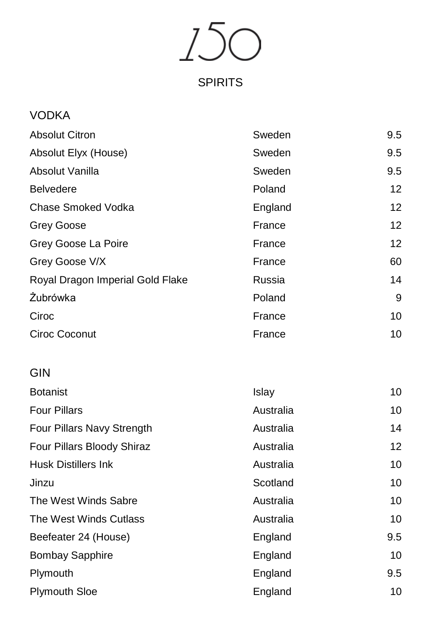150

## SPIRITS

| <b>VODKA</b>                     |         |     |
|----------------------------------|---------|-----|
| <b>Absolut Citron</b>            | Sweden  | 9.5 |
| Absolut Elyx (House)             | Sweden  | 9.5 |
| Absolut Vanilla                  | Sweden  | 9.5 |
| <b>Belvedere</b>                 | Poland  | 12  |
| Chase Smoked Vodka               | England | 12  |
| <b>Grey Goose</b>                | France  | 12  |
| Grey Goose La Poire              | France  | 12  |
| Grey Goose V/X                   | France  | 60  |
| Royal Dragon Imperial Gold Flake | Russia  | 14  |
| Żubrówka                         | Poland  | 9   |
| Ciroc                            | France  | 10  |
| Ciroc Coconut                    | France  | 10  |
|                                  |         |     |

# GIN

| <b>Botanist</b>            | Islay     | 10  |
|----------------------------|-----------|-----|
| <b>Four Pillars</b>        | Australia | 10  |
| Four Pillars Navy Strength | Australia | 14  |
| Four Pillars Bloody Shiraz | Australia | 12  |
| <b>Husk Distillers Ink</b> | Australia | 10  |
| Jinzu                      | Scotland  | 10  |
| The West Winds Sabre       | Australia | 10  |
| The West Winds Cutlass     | Australia | 10  |
| Beefeater 24 (House)       | England   | 9.5 |
| <b>Bombay Sapphire</b>     | England   | 10  |
| Plymouth                   | England   | 9.5 |
| <b>Plymouth Sloe</b>       | England   | 10  |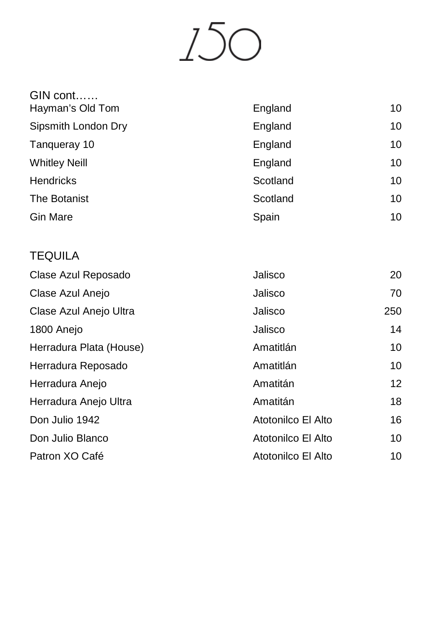150

| GIN cont<br>Hayman's Old Tom | England  | 10 |
|------------------------------|----------|----|
| Sipsmith London Dry          | England  | 10 |
| Tanqueray 10                 | England  | 10 |
| <b>Whitley Neill</b>         | England  | 10 |
| <b>Hendricks</b>             | Scotland | 10 |
| The Botanist                 | Scotland | 10 |
| <b>Gin Mare</b>              | Spain    | 10 |
|                              |          |    |
| <b>TEQUILA</b>               |          |    |

| Clase Azul Reposado     | Jalisco            | 20  |
|-------------------------|--------------------|-----|
| Clase Azul Anejo        | Jalisco            | 70  |
| Clase Azul Anejo Ultra  | Jalisco            | 250 |
| 1800 Anejo              | Jalisco            | 14  |
| Herradura Plata (House) | Amatitlán          | 10  |
| Herradura Reposado      | Amatitlán          | 10  |
| Herradura Anejo         | Amatitán           | 12  |
| Herradura Anejo Ultra   | Amatitán           | 18  |
| Don Julio 1942          | Atotonilco El Alto | 16  |
| Don Julio Blanco        | Atotonilco El Alto | 10  |
| Patron XO Café          | Atotonilco El Alto | 10  |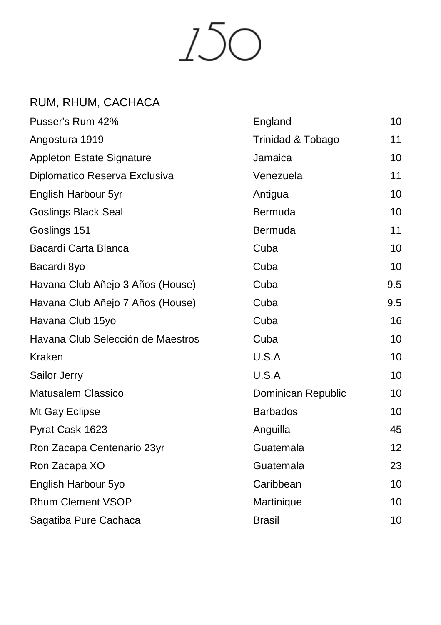

## RUM, RHUM, CACHACA

| Pusser's Rum 42%                  | England            | 10              |
|-----------------------------------|--------------------|-----------------|
| Angostura 1919                    | Trinidad & Tobago  | 11              |
| Appleton Estate Signature         | Jamaica            | 10              |
| Diplomatico Reserva Exclusiva     | Venezuela          | 11              |
| English Harbour 5yr               | Antigua            | 10              |
| <b>Goslings Black Seal</b>        | Bermuda            | 10              |
| Goslings 151                      | Bermuda            | 11              |
| Bacardi Carta Blanca              | Cuba               | 10              |
| Bacardi 8yo                       | Cuba               | 10              |
| Havana Club Añejo 3 Años (House)  | Cuba               | 9.5             |
| Havana Club Añejo 7 Años (House)  | Cuba               | 9.5             |
| Havana Club 15yo                  | Cuba               | 16              |
| Havana Club Selección de Maestros | Cuba               | 10              |
| Kraken                            | U.S.A              | 10              |
| Sailor Jerry                      | U.S.A              | 10 <sup>1</sup> |
| <b>Matusalem Classico</b>         | Dominican Republic | 10              |
| Mt Gay Eclipse                    | <b>Barbados</b>    | 10              |
| Pyrat Cask 1623                   | Anguilla           | 45              |
| Ron Zacapa Centenario 23yr        | Guatemala          | 12              |
| Ron Zacapa XO                     | Guatemala          | 23              |
| English Harbour 5yo               | Caribbean          | 10              |
| <b>Rhum Clement VSOP</b>          | Martinique         | 10              |
| Sagatiba Pure Cachaca             | <b>Brasil</b>      | 10              |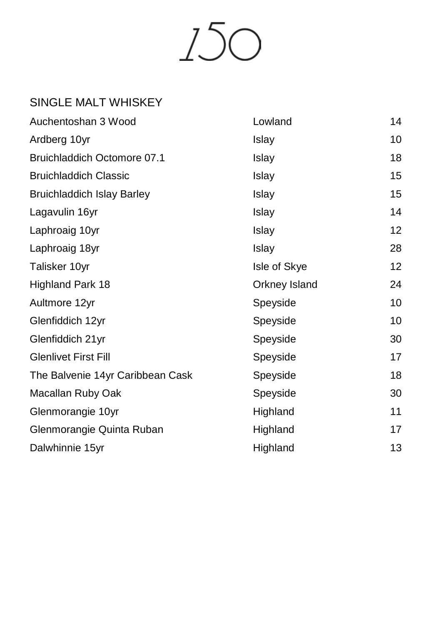

## SINGLE MALT WHISKEY

| Auchentoshan 3 Wood                | Lowland       | 14 |
|------------------------------------|---------------|----|
| Ardberg 10yr                       | Islay         | 10 |
| <b>Bruichladdich Octomore 07.1</b> | Islay         | 18 |
| <b>Bruichladdich Classic</b>       | Islay         | 15 |
| <b>Bruichladdich Islay Barley</b>  | Islay         | 15 |
| Lagavulin 16yr                     | Islay         | 14 |
| Laphroaig 10yr                     | Islay         | 12 |
| Laphroaig 18yr                     | Islay         | 28 |
| Talisker 10yr                      | Isle of Skye  | 12 |
| Highland Park 18                   | Orkney Island | 24 |
| Aultmore 12yr                      | Speyside      | 10 |
| Glenfiddich 12yr                   | Speyside      | 10 |
| Glenfiddich 21yr                   | Speyside      | 30 |
| <b>Glenlivet First Fill</b>        | Speyside      | 17 |
| The Balvenie 14yr Caribbean Cask   | Speyside      | 18 |
| Macallan Ruby Oak                  | Speyside      | 30 |
| Glenmorangie 10yr                  | Highland      | 11 |
| Glenmorangie Quinta Ruban          | Highland      | 17 |
| Dalwhinnie 15yr                    | Highland      | 13 |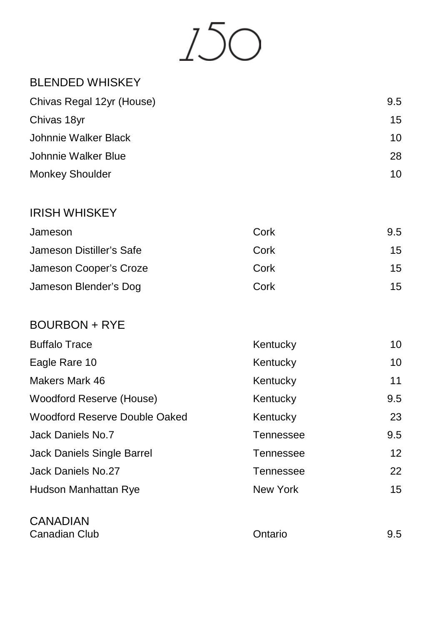

## BLENDED WHISKEY

| Chivas Regal 12yr (House) | 9.5 |
|---------------------------|-----|
| Chivas 18yr               | 15  |
| Johnnie Walker Black      | 10  |
| Johnnie Walker Blue       | 28  |
| <b>Monkey Shoulder</b>    | 10  |

### IRISH WHISKEY

| Jameson                  | Cork | 9.5 |
|--------------------------|------|-----|
| Jameson Distiller's Safe | Cork | 15  |
| Jameson Cooper's Croze   | Cork | 15  |
| Jameson Blender's Dog    | Cork | 15  |

## BOURBON + RYE

| <b>Buffalo Trace</b>                                          | Kentucky  | 10  |
|---------------------------------------------------------------|-----------|-----|
| Eagle Rare 10                                                 | Kentucky  | 10  |
| Makers Mark 46                                                | Kentucky  | 11  |
| Woodford Reserve (House)                                      | Kentucky  | 9.5 |
| Woodford Reserve Double Oaked                                 | Kentucky  | 23  |
| Jack Daniels No.7                                             | Tennessee | 9.5 |
| Jack Daniels Single Barrel                                    | Tennessee | 12  |
| Jack Daniels No.27                                            | Tennessee | 22  |
| Hudson Manhattan Rye                                          | New York  | 15  |
|                                                               |           |     |
| $\begin{array}{c} \bigcap A \cup A \cap A \cup A \end{array}$ |           |     |

CANADIAN Canadian Club **Canadian Club Canadian Club Canadian Club Ontario Ontario 9.5**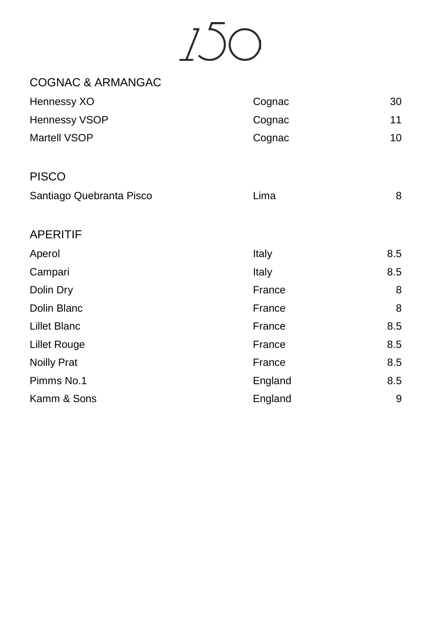150

| <b>COGNAC &amp; ARMANGAC</b> |         |     |
|------------------------------|---------|-----|
| Hennessy XO                  | Cognac  | 30  |
| Hennessy VSOP                | Cognac  | 11  |
| Martell VSOP                 | Cognac  | 10  |
| <b>PISCO</b>                 |         |     |
| Santiago Quebranta Pisco     | Lima    | 8   |
| <b>APERITIF</b>              |         |     |
| Aperol                       | Italy   | 8.5 |
| Campari                      | Italy   | 8.5 |
| Dolin Dry                    | France  | 8   |
| Dolin Blanc                  | France  | 8   |
| <b>Lillet Blanc</b>          | France  | 8.5 |
| <b>Lillet Rouge</b>          | France  | 8.5 |
| <b>Noilly Prat</b>           | France  | 8.5 |
| Pimms No.1                   | England | 8.5 |
| Kamm & Sons                  | England | 9   |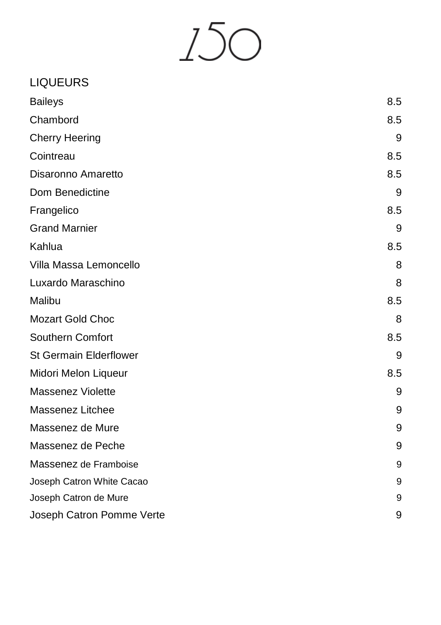150

## LIQUEURS

| <b>Baileys</b>                | 8.5 |
|-------------------------------|-----|
| Chambord                      | 8.5 |
| <b>Cherry Heering</b>         | 9   |
| Cointreau                     | 8.5 |
| Disaronno Amaretto            | 8.5 |
| Dom Benedictine               | 9   |
| Frangelico                    | 8.5 |
| <b>Grand Marnier</b>          | 9   |
| Kahlua                        | 8.5 |
| Villa Massa Lemoncello        | 8   |
| Luxardo Maraschino            | 8   |
| Malibu                        | 8.5 |
| <b>Mozart Gold Choc</b>       | 8   |
| Southern Comfort              | 8.5 |
| <b>St Germain Elderflower</b> | 9   |
| Midori Melon Liqueur          | 8.5 |
| Massenez Violette             | 9   |
| Massenez Litchee              | 9   |
| Massenez de Mure              | 9   |
| Massenez de Peche             | 9   |
| Massenez de Framboise         | 9   |
| Joseph Catron White Cacao     | 9   |
| Joseph Catron de Mure         | 9   |
| Joseph Catron Pomme Verte     | 9   |